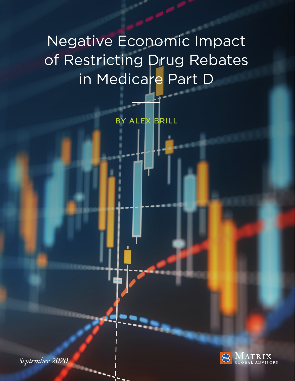# Negative Economic Impact of Restricting Drug Rebates in Medicare Part D

BY ALEX BRILL



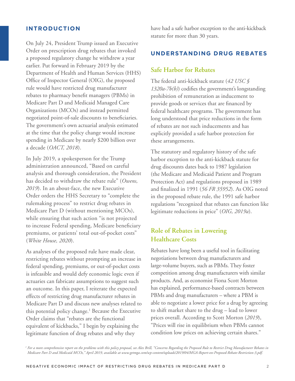#### **INTRODUCTION**

On July 24, President Trump issued an Executive Order on prescription drug rebates that invoked a proposed regulatory change he withdrew a year earlier. Put forward in February 2019 by the Department of Health and Human Services (HHS) Office of Inspector General (OIG), the proposed rule would have restricted drug manufacturer rebates to pharmacy benefit managers (PBMs) in Medicare Part D and Medicaid Managed Care Organizations (MCOs) and instead permitted negotiated point-of-sale discounts to beneficiaries. The government's own actuarial analysis estimated at the time that the policy change would increase spending in Medicare by nearly \$200 billion over a decade (*OACT, 2018*).

In July 2019, a spokesperson for the Trump administration announced, "Based on careful analysis and thorough consideration, the President has decided to withdraw the rebate rule" (*Owens, 2019*). In an about-face, the new Executive Order orders the HHS Secretary to "complete the rulemaking process" to restrict drug rebates in Medicare Part D (without mentioning MCOs), while ensuring that such action "is not projected to increase Federal spending, Medicare beneficiary premiums, or patients' total out-of-pocket costs" (*White House, 2020*).

As analyses of the proposed rule have made clear, restricting rebates without prompting an increase in federal spending, premiums, or out-of-pocket costs is infeasible and would defy economic logic even if actuaries can fabricate assumptions to suggest such an outcome. In this paper, I reiterate the expected effects of restricting drug manufacturer rebates in Medicare Part D and discuss new analyses related to this potential policy change.<sup>1</sup> Because the Executive Order claims that "rebates are the functional equivalent of kickbacks," I begin by explaining the legitimate function of drug rebates and why they

have had a safe harbor exception to the anti-kickback statute for more than 30 years.

#### **UNDERSTANDING DRUG REBATES**

#### **Safe Harbor for Rebates**

The federal anti-kickback statute (*42 USC § 1320a-7b(b)*) codifies the government's longstanding prohibition of remuneration as inducement to provide goods or services that are financed by federal healthcare programs. The government has long understood that price reductions in the form of rebates are not such inducements and has explicitly provided a safe harbor protection for these arrangements.

The statutory and regulatory history of the safe harbor exception to the anti-kickback statute for drug discounts dates back to 1987 legislation (the Medicare and Medicaid Patient and Program Protection Act) and regulations proposed in 1989 and finalized in 1991 (*56 FR 35952*). As OIG noted in the proposed rebate rule, the 1991 safe harbor regulations "recognized that rebates can function like legitimate reductions in price" (*OIG, 2019a*).

## **Role of Rebates in Lowering Healthcare Costs**

Rebates have long been a useful tool in facilitating negotiations between drug manufacturers and large-volume buyers, such as PBMs. They foster competition among drug manufacturers with similar products. And, as economist Fiona Scott Morton has explained, performance-based contracts between PBMs and drug manufacturers – where a PBM is able to negotiate a lower price for a drug by agreeing to shift market share to the drug – lead to lower prices overall. According to Scott Morton (*2019*), "Prices will rise in equilibrium when PBMs cannot condition low prices on achieving certain shares."

*<sup>1</sup> For a more comprehensive report on the problems with this policy proposal, see Alex Brill, "Concerns Regarding the Proposed Rule to Restrict Drug Manufacturer Rebates in Medicare Part D and Medicaid MCOs," April 2019, available at [www.getmga.com/wp-content/uploads/2019/04/MGA-Report-on-Proposed-Rebate-Restriction-3.pdf.](www.getmga.com/wp-content/uploads/2019/04/MGA-Report-on-Proposed-Rebate-Restriction-3.pdf)*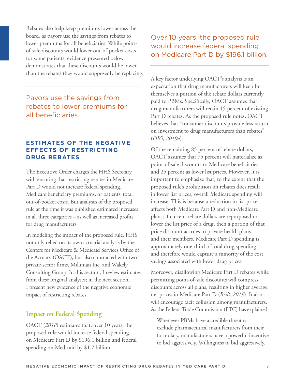Rebates also help keep premiums lower across the board, as payors use the savings from rebates to lower premiums for all beneficiaries. While pointof-sale discounts would lower out-of-pocket costs for some patients, evidence presented below demonstrates that these discounts would be lower than the rebates they would supposedly be replacing.

Payors use the savings from rebates to lower premiums for all beneficiaries.

## **ESTIMATES OF THE NEGATIVE EFFECTS OF RESTRICTING DRUG REBATES**

The Executive Order charges the HHS Secretary with ensuring that restricting rebates in Medicare Part D would not increase federal spending, Medicare beneficiary premiums, or patients' total out-of-pocket costs. But analyses of the proposed rule at the time it was published estimated increases in all three categories – as well as increased profits for drug manufacturers.

In modeling the impact of the proposed rule, HHS not only relied on its own actuarial analysis by the Centers for Medicare & Medicaid Services Office of the Actuary (OACT), but also contracted with two private-sector firms, Milliman Inc. and Wakely Consulting Group. In this section, I review estimates from these original analyses; in the next section, I present new evidence of the negative economic impact of restricting rebates.

## **Impact on Federal Spending**

OACT (*2018*) estimates that, over 10 years, the proposed rule would increase federal spending on Medicare Part D by \$196.1 billion and federal spending on Medicaid by \$1.7 billion.

Over 10 years, the proposed rule would increase federal spending on Medicare Part D by \$196.1 billion.

A key factor underlying OACT's analysis is an expectation that drug manufacturers will keep for themselves a portion of the rebate dollars currently paid to PBMs. Specifically, OACT assumes that drug manufacturers will retain 15 percent of existing Part D rebates. As the proposed rule notes, OACT believes that "consumer discounts provide less return on investment to drug manufacturers than rebates" (*OIG, 2019a*).

Of the remaining 85 percent of rebate dollars, OACT assumes that 75 percent will materialize as point-of-sale discounts to Medicare beneficiaries and 25 percent as lower list prices. However, it is important to emphasize that, to the extent that the proposed rule's prohibition on rebates does result in lower list prices, overall Medicare spending will increase. This is because a reduction in list price affects both Medicare Part D and non-Medicare plans; if current rebate dollars are repurposed to lower the list price of a drug, then a portion of that price discount accrues to private health plans and their members. Medicare Part D spending is approximately one-third of total drug spending and therefore would capture a minority of the cost savings associated with lower drug prices.

Moreover, disallowing Medicare Part D rebates while permitting point-of-sale discounts will compress discounts across all plans, resulting in higher average net prices in Medicare Part D (*Brill, 2019*). It also will encourage tacit collusion among manufacturers. As the Federal Trade Commission (FTC) has explained:

 Whenever PBMs have a credible threat to exclude pharmaceutical manufacturers from their formulary, manufacturers have a powerful incentive to bid aggressively. Willingness to bid aggressively,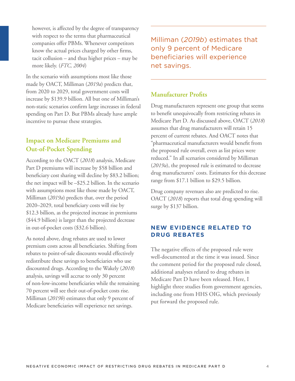however, is affected by the degree of transparency with respect to the terms that pharmaceutical companies offer PBMs. Whenever competitors know the actual prices charged by other firms, tacit collusion – and thus higher prices – may be more likely. (*FTC, 2004*)

In the scenario with assumptions most like those made by OACT, Milliman (*2019a*) predicts that, from 2020 to 2029, total government costs will increase by \$139.9 billion. All but one of Milliman's non-static scenarios confirm large increases in federal spending on Part D. But PBMs already have ample incentive to pursue these strategies.

# **Impact on Medicare Premiums and Out-of-Pocket Spending**

According to the OACT (*2018*) analysis, Medicare Part D premiums will increase by \$58 billion and beneficiary cost sharing will decline by \$83.2 billion; the net impact will be –\$25.2 billion. In the scenario with assumptions most like those made by OACT, Milliman (*2019a*) predicts that, over the period 2020–2029, total beneficiary costs will rise by \$12.3 billion, as the projected increase in premiums (\$44.9 billion) is larger than the projected decrease in out-of-pocket costs (\$32.6 billion).

As noted above, drug rebates are used to lower premium costs across all beneficiaries. Shifting from rebates to point-of-sale discounts would effectively redistribute these savings to beneficiaries who use discounted drugs. According to the Wakely (*2018*) analysis, savings will accrue to only 30 percent of non-low-income beneficiaries while the remaining 70 percent will see their out-of-pocket costs rise. Milliman (*2019b*) estimates that only 9 percent of Medicare beneficiaries will experience net savings.

Milliman (*2019b*) estimates that only 9 percent of Medicare beneficiaries will experience net savings.

## **Manufacturer Profits**

Drug manufacturers represent one group that seems to benefit unequivocally from restricting rebates in Medicare Part D. As discussed above, OACT (*2018*) assumes that drug manufacturers will retain 15 percent of current rebates. And OACT notes that "pharmaceutical manufacturers would benefit from the proposed rule overall, even as list prices were reduced." In all scenarios considered by Milliman (*2019a*), the proposed rule is estimated to decrease drug manufacturers' costs. Estimates for this decrease range from \$17.1 billion to \$29.5 billion.

Drug company revenues also are predicted to rise. OACT (*2018*) reports that total drug spending will surge by \$137 billion.

#### **NEW EVIDENCE RELATED TO DRUG REBATES**

The negative effects of the proposed rule were well-documented at the time it was issued. Since the comment period for the proposed rule closed, additional analyses related to drug rebates in Medicare Part D have been released. Here, I highlight three studies from government agencies, including one from HHS OIG, which previously put forward the proposed rule.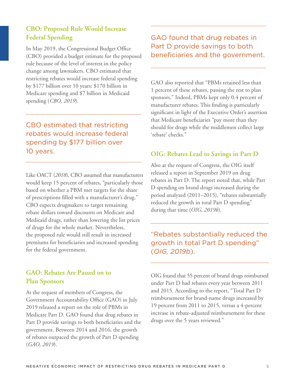# **CBO: Proposed Rule Would Increase Federal Spending**

In May 2019, the Congressional Budget Office (CBO) provided a budget estimate for the proposed rule because of the level of interest in the policy change among lawmakers. CBO estimated that restricting rebates would increase federal spending by \$177 billion over 10 years: \$170 billion in Medicare spending and \$7 billion in Medicaid spending (*CBO, 2019*).

CBO estimated that restricting rebates would increase federal spending by \$177 billion over 10 years.

Like OACT (*2018*), CBO assumed that manufacturers would keep 15 percent of rebates, "particularly those based on whether a PBM met targets for the share of prescriptions filled with a manufacturer's drug." CBO expects drugmakers to target remaining rebate dollars toward discounts on Medicare and Medicaid drugs, rather than lowering the list prices of drugs for the whole market. Nevertheless, the proposed rule would still result in increased premiums for beneficiaries and increased spending for the federal government.

# **GAO: Rebates Are Passed on to Plan Sponsors**

At the request of members of Congress, the Government Accountability Office (GAO) in July 2019 released a report on the role of PBMs in Medicare Part D. GAO found that drug rebates in Part D provide savings to both beneficiaries and the government. Between 2014 and 2016, the growth of rebates outpaced the growth of Part D spending (*GAO, 2019*).

# GAO found that drug rebates in Part D provide savings to both beneficiaries and the government.

GAO also reported that "PBMs retained less than 1 percent of these rebates, passing the rest to plan sponsors." Indeed, PBMs kept only 0.4 percent of manufacturer rebates. This finding is particularly significant in light of the Executive Order's assertion that Medicare beneficiaries "pay more than they should for drugs while the middlemen collect large 'rebate' checks."

## **OIG: Rebates Lead to Savings in Part D**

Also at the request of Congress, the OIG itself released a report in September 2019 on drug rebates in Part D. The report noted that, while Part D spending on brand drugs increased during the period analyzed (2011–2015), "rebates substantially reduced the growth in total Part D spending" during that time (*OIG, 2019b*).

"Rebates substantially reduced the growth in total Part D spending" (*OIG, 2019b*).

OIG found that 55 percent of brand drugs reimbursed under Part D had rebates every year between 2011 and 2015. According to the report, "Total Part D reimbursement for brand-name drugs increased by 19 percent from 2011 to 2015, versus a 4-percent increase in rebate-adjusted reimbursement for these drugs over the 5 years reviewed."